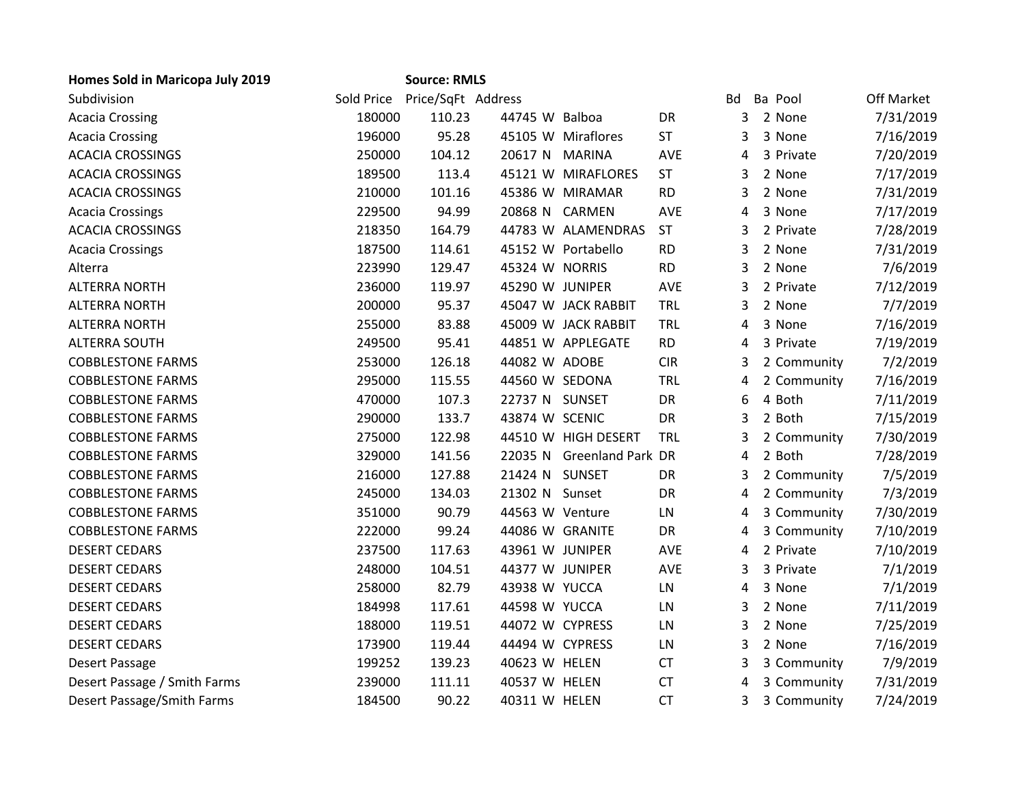| <b>Homes Sold in Maricopa July 2019</b> |            | <b>Source: RMLS</b> |                 |                           |            |           |             |            |
|-----------------------------------------|------------|---------------------|-----------------|---------------------------|------------|-----------|-------------|------------|
| Subdivision                             | Sold Price | Price/SqFt Address  |                 |                           |            | <b>Bd</b> | Ba Pool     | Off Market |
| <b>Acacia Crossing</b>                  | 180000     | 110.23              | 44745 W Balboa  |                           | DR         | 3         | 2 None      | 7/31/2019  |
| <b>Acacia Crossing</b>                  | 196000     | 95.28               |                 | 45105 W Miraflores        | <b>ST</b>  | 3         | 3 None      | 7/16/2019  |
| <b>ACACIA CROSSINGS</b>                 | 250000     | 104.12              | 20617 N MARINA  |                           | <b>AVE</b> | 4         | 3 Private   | 7/20/2019  |
| <b>ACACIA CROSSINGS</b>                 | 189500     | 113.4               |                 | 45121 W MIRAFLORES        | <b>ST</b>  | 3         | 2 None      | 7/17/2019  |
| <b>ACACIA CROSSINGS</b>                 | 210000     | 101.16              |                 | 45386 W MIRAMAR           | <b>RD</b>  | 3         | 2 None      | 7/31/2019  |
| <b>Acacia Crossings</b>                 | 229500     | 94.99               |                 | 20868 N CARMEN            | <b>AVE</b> | 4         | 3 None      | 7/17/2019  |
| <b>ACACIA CROSSINGS</b>                 | 218350     | 164.79              |                 | 44783 W ALAMENDRAS        | <b>ST</b>  | 3         | 2 Private   | 7/28/2019  |
| <b>Acacia Crossings</b>                 | 187500     | 114.61              |                 | 45152 W Portabello        | <b>RD</b>  | 3         | 2 None      | 7/31/2019  |
| Alterra                                 | 223990     | 129.47              | 45324 W NORRIS  |                           | <b>RD</b>  | 3         | 2 None      | 7/6/2019   |
| <b>ALTERRA NORTH</b>                    | 236000     | 119.97              | 45290 W JUNIPER |                           | AVE        | 3         | 2 Private   | 7/12/2019  |
| <b>ALTERRA NORTH</b>                    | 200000     | 95.37               |                 | 45047 W JACK RABBIT       | <b>TRL</b> | 3         | 2 None      | 7/7/2019   |
| <b>ALTERRA NORTH</b>                    | 255000     | 83.88               |                 | 45009 W JACK RABBIT       | <b>TRL</b> | 4         | 3 None      | 7/16/2019  |
| <b>ALTERRA SOUTH</b>                    | 249500     | 95.41               |                 | 44851 W APPLEGATE         | <b>RD</b>  | 4         | 3 Private   | 7/19/2019  |
| <b>COBBLESTONE FARMS</b>                | 253000     | 126.18              | 44082 W ADOBE   |                           | <b>CIR</b> | 3         | 2 Community | 7/2/2019   |
| <b>COBBLESTONE FARMS</b>                | 295000     | 115.55              | 44560 W SEDONA  |                           | <b>TRL</b> | 4         | 2 Community | 7/16/2019  |
| <b>COBBLESTONE FARMS</b>                | 470000     | 107.3               | 22737 N SUNSET  |                           | DR         | 6         | 4 Both      | 7/11/2019  |
| <b>COBBLESTONE FARMS</b>                | 290000     | 133.7               | 43874 W SCENIC  |                           | <b>DR</b>  | 3         | 2 Both      | 7/15/2019  |
| <b>COBBLESTONE FARMS</b>                | 275000     | 122.98              |                 | 44510 W HIGH DESERT       | TRL        | 3         | 2 Community | 7/30/2019  |
| <b>COBBLESTONE FARMS</b>                | 329000     | 141.56              |                 | 22035 N Greenland Park DR |            | 4         | 2 Both      | 7/28/2019  |
| <b>COBBLESTONE FARMS</b>                | 216000     | 127.88              | 21424 N SUNSET  |                           | DR         | 3         | 2 Community | 7/5/2019   |
| <b>COBBLESTONE FARMS</b>                | 245000     | 134.03              | 21302 N Sunset  |                           | DR         | 4         | 2 Community | 7/3/2019   |
| <b>COBBLESTONE FARMS</b>                | 351000     | 90.79               | 44563 W Venture |                           | LN         | 4         | 3 Community | 7/30/2019  |
| <b>COBBLESTONE FARMS</b>                | 222000     | 99.24               | 44086 W GRANITE |                           | DR         | 4         | 3 Community | 7/10/2019  |
| <b>DESERT CEDARS</b>                    | 237500     | 117.63              | 43961 W JUNIPER |                           | <b>AVE</b> | 4         | 2 Private   | 7/10/2019  |
| <b>DESERT CEDARS</b>                    | 248000     | 104.51              | 44377 W JUNIPER |                           | <b>AVE</b> | 3         | 3 Private   | 7/1/2019   |
| <b>DESERT CEDARS</b>                    | 258000     | 82.79               | 43938 W YUCCA   |                           | LN         | 4         | 3 None      | 7/1/2019   |
| <b>DESERT CEDARS</b>                    | 184998     | 117.61              | 44598 W YUCCA   |                           | LN         | 3         | 2 None      | 7/11/2019  |
| <b>DESERT CEDARS</b>                    | 188000     | 119.51              | 44072 W CYPRESS |                           | LN         | 3         | 2 None      | 7/25/2019  |
| <b>DESERT CEDARS</b>                    | 173900     | 119.44              | 44494 W CYPRESS |                           | LN         | 3         | 2 None      | 7/16/2019  |
| Desert Passage                          | 199252     | 139.23              | 40623 W HELEN   |                           | <b>CT</b>  | 3         | 3 Community | 7/9/2019   |
| Desert Passage / Smith Farms            | 239000     | 111.11              | 40537 W HELEN   |                           | <b>CT</b>  | 4         | 3 Community | 7/31/2019  |
| Desert Passage/Smith Farms              | 184500     | 90.22               | 40311 W HELEN   |                           | <b>CT</b>  | 3         | 3 Community | 7/24/2019  |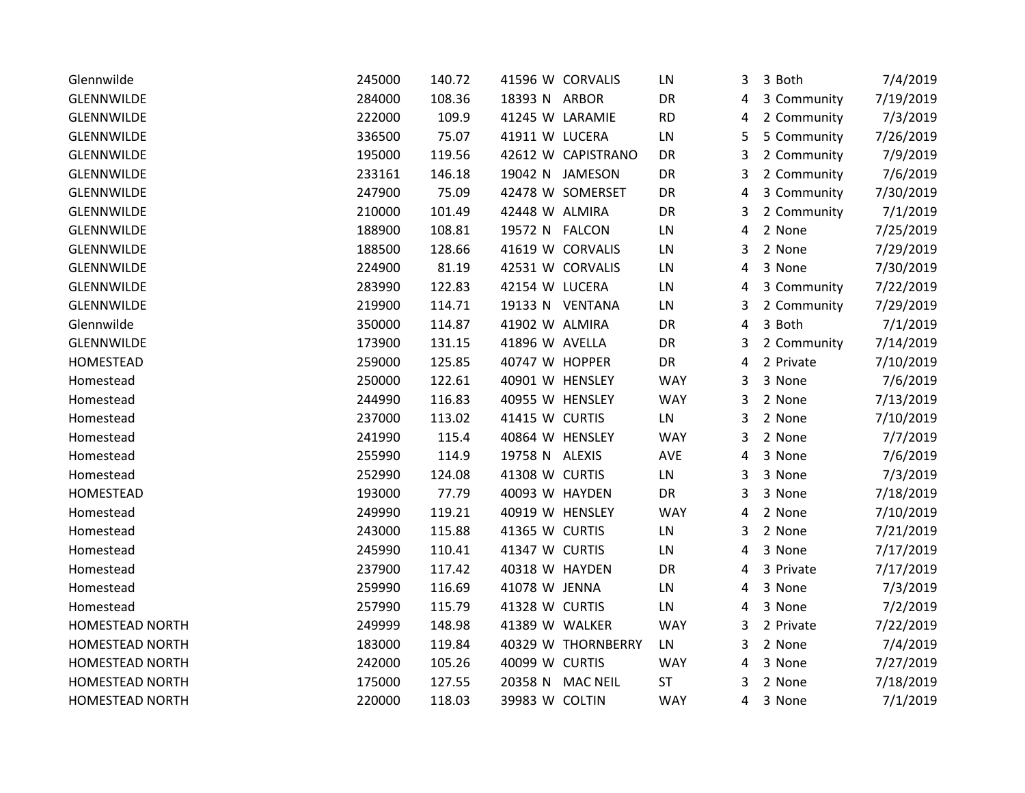| Glennwilde             | 245000 | 140.72 |                 | 41596 W CORVALIS   | LN         | 3 | 3 Both      | 7/4/2019  |
|------------------------|--------|--------|-----------------|--------------------|------------|---|-------------|-----------|
| <b>GLENNWILDE</b>      | 284000 | 108.36 | 18393 N ARBOR   |                    | DR         | 4 | 3 Community | 7/19/2019 |
| <b>GLENNWILDE</b>      | 222000 | 109.9  | 41245 W LARAMIE |                    | <b>RD</b>  | 4 | 2 Community | 7/3/2019  |
| GLENNWILDE             | 336500 | 75.07  | 41911 W LUCERA  |                    | ${\sf LN}$ | 5 | 5 Community | 7/26/2019 |
| <b>GLENNWILDE</b>      | 195000 | 119.56 |                 | 42612 W CAPISTRANO | DR         | 3 | 2 Community | 7/9/2019  |
| <b>GLENNWILDE</b>      | 233161 | 146.18 |                 | 19042 N JAMESON    | DR         | 3 | 2 Community | 7/6/2019  |
| <b>GLENNWILDE</b>      | 247900 | 75.09  |                 | 42478 W SOMERSET   | DR         | 4 | 3 Community | 7/30/2019 |
| <b>GLENNWILDE</b>      | 210000 | 101.49 | 42448 W ALMIRA  |                    | DR         | 3 | 2 Community | 7/1/2019  |
| GLENNWILDE             | 188900 | 108.81 | 19572 N FALCON  |                    | LN         | 4 | 2 None      | 7/25/2019 |
| <b>GLENNWILDE</b>      | 188500 | 128.66 |                 | 41619 W CORVALIS   | LN         | 3 | 2 None      | 7/29/2019 |
| GLENNWILDE             | 224900 | 81.19  |                 | 42531 W CORVALIS   | LN         | 4 | 3 None      | 7/30/2019 |
| <b>GLENNWILDE</b>      | 283990 | 122.83 | 42154 W LUCERA  |                    | LN         | 4 | 3 Community | 7/22/2019 |
| GLENNWILDE             | 219900 | 114.71 |                 | 19133 N VENTANA    | LN         | 3 | 2 Community | 7/29/2019 |
| Glennwilde             | 350000 | 114.87 | 41902 W ALMIRA  |                    | DR         | 4 | 3 Both      | 7/1/2019  |
| GLENNWILDE             | 173900 | 131.15 | 41896 W AVELLA  |                    | DR         | 3 | 2 Community | 7/14/2019 |
| HOMESTEAD              | 259000 | 125.85 | 40747 W HOPPER  |                    | DR         | 4 | 2 Private   | 7/10/2019 |
| Homestead              | 250000 | 122.61 | 40901 W HENSLEY |                    | <b>WAY</b> | 3 | 3 None      | 7/6/2019  |
| Homestead              | 244990 | 116.83 | 40955 W HENSLEY |                    | <b>WAY</b> | 3 | 2 None      | 7/13/2019 |
| Homestead              | 237000 | 113.02 | 41415 W CURTIS  |                    | LN         | 3 | 2 None      | 7/10/2019 |
| Homestead              | 241990 | 115.4  | 40864 W HENSLEY |                    | <b>WAY</b> | 3 | 2 None      | 7/7/2019  |
| Homestead              | 255990 | 114.9  | 19758 N ALEXIS  |                    | AVE        | 4 | 3 None      | 7/6/2019  |
| Homestead              | 252990 | 124.08 | 41308 W CURTIS  |                    | LN         | 3 | 3 None      | 7/3/2019  |
| HOMESTEAD              | 193000 | 77.79  | 40093 W HAYDEN  |                    | DR         | 3 | 3 None      | 7/18/2019 |
| Homestead              | 249990 | 119.21 | 40919 W HENSLEY |                    | <b>WAY</b> | 4 | 2 None      | 7/10/2019 |
| Homestead              | 243000 | 115.88 | 41365 W CURTIS  |                    | LN         | 3 | 2 None      | 7/21/2019 |
| Homestead              | 245990 | 110.41 | 41347 W CURTIS  |                    | LN         | 4 | 3 None      | 7/17/2019 |
| Homestead              | 237900 | 117.42 | 40318 W HAYDEN  |                    | DR         | 4 | 3 Private   | 7/17/2019 |
| Homestead              | 259990 | 116.69 | 41078 W JENNA   |                    | LN         | 4 | 3 None      | 7/3/2019  |
| Homestead              | 257990 | 115.79 | 41328 W CURTIS  |                    | LN         | 4 | 3 None      | 7/2/2019  |
| <b>HOMESTEAD NORTH</b> | 249999 | 148.98 | 41389 W WALKER  |                    | <b>WAY</b> | 3 | 2 Private   | 7/22/2019 |
| HOMESTEAD NORTH        | 183000 | 119.84 |                 | 40329 W THORNBERRY | LN         | 3 | 2 None      | 7/4/2019  |
| <b>HOMESTEAD NORTH</b> | 242000 | 105.26 | 40099 W CURTIS  |                    | <b>WAY</b> | 4 | 3 None      | 7/27/2019 |
| HOMESTEAD NORTH        | 175000 | 127.55 |                 | 20358 N MAC NEIL   | ST         | 3 | 2 None      | 7/18/2019 |
| <b>HOMESTEAD NORTH</b> | 220000 | 118.03 | 39983 W COLTIN  |                    | <b>WAY</b> | 4 | 3 None      | 7/1/2019  |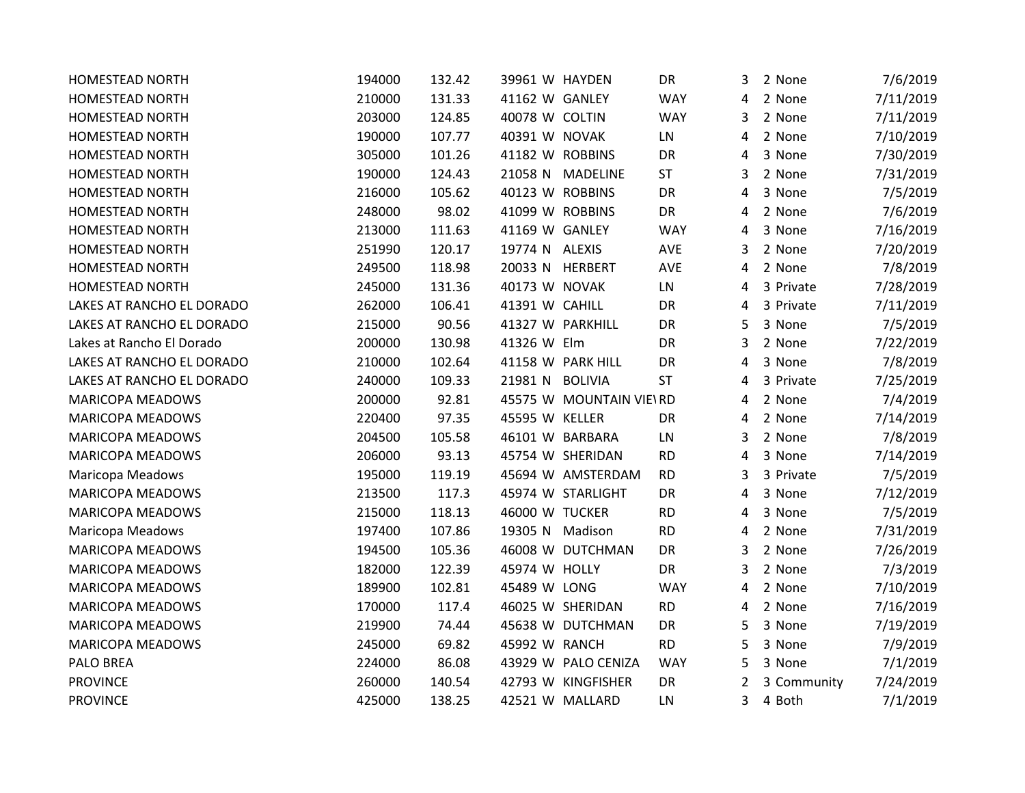| <b>HOMESTEAD NORTH</b>    | 194000 | 132.42 | 39961 W HAYDEN  |                         | DR         | 3 | 2 None      | 7/6/2019  |
|---------------------------|--------|--------|-----------------|-------------------------|------------|---|-------------|-----------|
| <b>HOMESTEAD NORTH</b>    | 210000 | 131.33 | 41162 W GANLEY  |                         | <b>WAY</b> | 4 | 2 None      | 7/11/2019 |
| <b>HOMESTEAD NORTH</b>    | 203000 | 124.85 | 40078 W COLTIN  |                         | <b>WAY</b> | 3 | 2 None      | 7/11/2019 |
| <b>HOMESTEAD NORTH</b>    | 190000 | 107.77 | 40391 W NOVAK   |                         | LN         | 4 | 2 None      | 7/10/2019 |
| HOMESTEAD NORTH           | 305000 | 101.26 | 41182 W ROBBINS |                         | DR         | 4 | 3 None      | 7/30/2019 |
| <b>HOMESTEAD NORTH</b>    | 190000 | 124.43 | 21058 N         | <b>MADELINE</b>         | <b>ST</b>  | 3 | 2 None      | 7/31/2019 |
| HOMESTEAD NORTH           | 216000 | 105.62 | 40123 W ROBBINS |                         | DR         | 4 | 3 None      | 7/5/2019  |
| <b>HOMESTEAD NORTH</b>    | 248000 | 98.02  | 41099 W ROBBINS |                         | DR         | 4 | 2 None      | 7/6/2019  |
| <b>HOMESTEAD NORTH</b>    | 213000 | 111.63 | 41169 W GANLEY  |                         | <b>WAY</b> | 4 | 3 None      | 7/16/2019 |
| <b>HOMESTEAD NORTH</b>    | 251990 | 120.17 | 19774 N ALEXIS  |                         | AVE        | 3 | 2 None      | 7/20/2019 |
| <b>HOMESTEAD NORTH</b>    | 249500 | 118.98 |                 | 20033 N HERBERT         | AVE        | 4 | 2 None      | 7/8/2019  |
| <b>HOMESTEAD NORTH</b>    | 245000 | 131.36 | 40173 W NOVAK   |                         | LN         | 4 | 3 Private   | 7/28/2019 |
| LAKES AT RANCHO EL DORADO | 262000 | 106.41 | 41391 W CAHILL  |                         | DR         | 4 | 3 Private   | 7/11/2019 |
| LAKES AT RANCHO EL DORADO | 215000 | 90.56  |                 | 41327 W PARKHILL        | DR         | 5 | 3 None      | 7/5/2019  |
| Lakes at Rancho El Dorado | 200000 | 130.98 | 41326 W Elm     |                         | DR         | 3 | 2 None      | 7/22/2019 |
| LAKES AT RANCHO EL DORADO | 210000 | 102.64 |                 | 41158 W PARK HILL       | DR         | 4 | 3 None      | 7/8/2019  |
| LAKES AT RANCHO EL DORADO | 240000 | 109.33 | 21981 N         | <b>BOLIVIA</b>          | <b>ST</b>  | 4 | 3 Private   | 7/25/2019 |
| MARICOPA MEADOWS          | 200000 | 92.81  |                 | 45575 W MOUNTAIN VIE\RD |            | 4 | 2 None      | 7/4/2019  |
| <b>MARICOPA MEADOWS</b>   | 220400 | 97.35  | 45595 W KELLER  |                         | DR         | 4 | 2 None      | 7/14/2019 |
| <b>MARICOPA MEADOWS</b>   | 204500 | 105.58 |                 | 46101 W BARBARA         | LN         | 3 | 2 None      | 7/8/2019  |
| <b>MARICOPA MEADOWS</b>   | 206000 | 93.13  |                 | 45754 W SHERIDAN        | <b>RD</b>  | 4 | 3 None      | 7/14/2019 |
| <b>Maricopa Meadows</b>   | 195000 | 119.19 |                 | 45694 W AMSTERDAM       | <b>RD</b>  | 3 | 3 Private   | 7/5/2019  |
| MARICOPA MEADOWS          | 213500 | 117.3  |                 | 45974 W STARLIGHT       | DR         | 4 | 3 None      | 7/12/2019 |
| <b>MARICOPA MEADOWS</b>   | 215000 | 118.13 | 46000 W TUCKER  |                         | <b>RD</b>  | 4 | 3 None      | 7/5/2019  |
| Maricopa Meadows          | 197400 | 107.86 | 19305 N         | Madison                 | <b>RD</b>  | 4 | 2 None      | 7/31/2019 |
| <b>MARICOPA MEADOWS</b>   | 194500 | 105.36 |                 | 46008 W DUTCHMAN        | DR         | 3 | 2 None      | 7/26/2019 |
| <b>MARICOPA MEADOWS</b>   | 182000 | 122.39 | 45974 W HOLLY   |                         | DR         | 3 | 2 None      | 7/3/2019  |
| MARICOPA MEADOWS          | 189900 | 102.81 | 45489 W LONG    |                         | <b>WAY</b> | 4 | 2 None      | 7/10/2019 |
| <b>MARICOPA MEADOWS</b>   | 170000 | 117.4  |                 | 46025 W SHERIDAN        | <b>RD</b>  | 4 | 2 None      | 7/16/2019 |
| MARICOPA MEADOWS          | 219900 | 74.44  |                 | 45638 W DUTCHMAN        | DR         | 5 | 3 None      | 7/19/2019 |
| MARICOPA MEADOWS          | 245000 | 69.82  | 45992 W RANCH   |                         | <b>RD</b>  | 5 | 3 None      | 7/9/2019  |
| <b>PALO BREA</b>          | 224000 | 86.08  |                 | 43929 W PALO CENIZA     | <b>WAY</b> | 5 | 3 None      | 7/1/2019  |
| <b>PROVINCE</b>           | 260000 | 140.54 |                 | 42793 W KINGFISHER      | DR         | 2 | 3 Community | 7/24/2019 |
| <b>PROVINCE</b>           | 425000 | 138.25 |                 | 42521 W MALLARD         | LN         | 3 | 4 Both      | 7/1/2019  |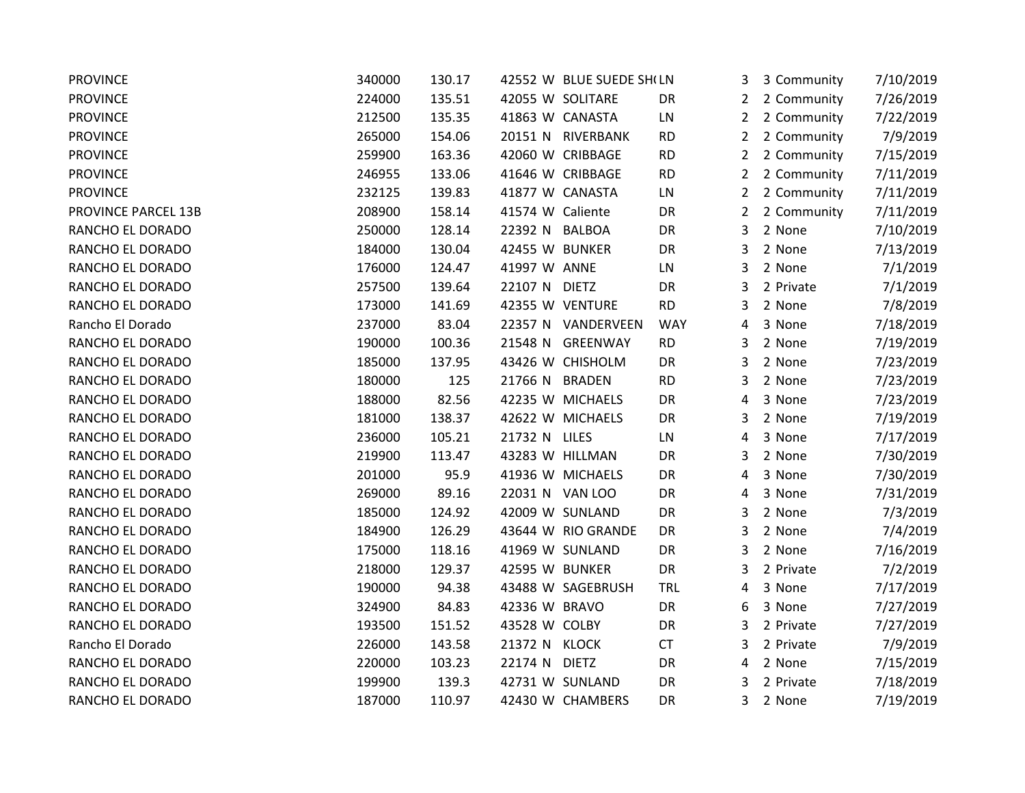| <b>PROVINCE</b>     | 340000 | 130.17 |                  | 42552 W BLUE SUEDE SH(LN |            | 3.             | 3 Community | 7/10/2019 |
|---------------------|--------|--------|------------------|--------------------------|------------|----------------|-------------|-----------|
| <b>PROVINCE</b>     | 224000 | 135.51 |                  | 42055 W SOLITARE         | DR         | $\mathbf{2}$   | 2 Community | 7/26/2019 |
| <b>PROVINCE</b>     | 212500 | 135.35 |                  | 41863 W CANASTA          | LN         | $\mathbf{2}$   | 2 Community | 7/22/2019 |
| <b>PROVINCE</b>     | 265000 | 154.06 |                  | 20151 N RIVERBANK        | <b>RD</b>  | $\overline{2}$ | 2 Community | 7/9/2019  |
| <b>PROVINCE</b>     | 259900 | 163.36 |                  | 42060 W CRIBBAGE         | <b>RD</b>  | $\overline{2}$ | 2 Community | 7/15/2019 |
| <b>PROVINCE</b>     | 246955 | 133.06 |                  | 41646 W CRIBBAGE         | <b>RD</b>  | $\overline{2}$ | 2 Community | 7/11/2019 |
| <b>PROVINCE</b>     | 232125 | 139.83 |                  | 41877 W CANASTA          | LN         | $\mathbf{2}$   | 2 Community | 7/11/2019 |
| PROVINCE PARCEL 13B | 208900 | 158.14 | 41574 W Caliente |                          | DR         | $\overline{2}$ | 2 Community | 7/11/2019 |
| RANCHO EL DORADO    | 250000 | 128.14 | 22392 N          | <b>BALBOA</b>            | DR         | 3              | 2 None      | 7/10/2019 |
| RANCHO EL DORADO    | 184000 | 130.04 | 42455 W BUNKER   |                          | DR         | 3              | 2 None      | 7/13/2019 |
| RANCHO EL DORADO    | 176000 | 124.47 | 41997 W ANNE     |                          | LN         | 3              | 2 None      | 7/1/2019  |
| RANCHO EL DORADO    | 257500 | 139.64 | 22107 N DIETZ    |                          | DR         | 3              | 2 Private   | 7/1/2019  |
| RANCHO EL DORADO    | 173000 | 141.69 |                  | 42355 W VENTURE          | <b>RD</b>  | 3              | 2 None      | 7/8/2019  |
| Rancho El Dorado    | 237000 | 83.04  |                  | 22357 N VANDERVEEN       | <b>WAY</b> | 4              | 3 None      | 7/18/2019 |
| RANCHO EL DORADO    | 190000 | 100.36 |                  | 21548 N GREENWAY         | <b>RD</b>  | 3              | 2 None      | 7/19/2019 |
| RANCHO EL DORADO    | 185000 | 137.95 |                  | 43426 W CHISHOLM         | DR         | 3              | 2 None      | 7/23/2019 |
| RANCHO EL DORADO    | 180000 | 125    | 21766 N          | <b>BRADEN</b>            | <b>RD</b>  | 3              | 2 None      | 7/23/2019 |
| RANCHO EL DORADO    | 188000 | 82.56  |                  | 42235 W MICHAELS         | DR         | 4              | 3 None      | 7/23/2019 |
| RANCHO EL DORADO    | 181000 | 138.37 |                  | 42622 W MICHAELS         | DR         | 3              | 2 None      | 7/19/2019 |
| RANCHO EL DORADO    | 236000 | 105.21 | 21732 N LILES    |                          | LN         | 4              | 3 None      | 7/17/2019 |
| RANCHO EL DORADO    | 219900 | 113.47 |                  | 43283 W HILLMAN          | DR         | 3              | 2 None      | 7/30/2019 |
| RANCHO EL DORADO    | 201000 | 95.9   |                  | 41936 W MICHAELS         | DR         | 4              | 3 None      | 7/30/2019 |
| RANCHO EL DORADO    | 269000 | 89.16  |                  | 22031 N VAN LOO          | DR         | 4              | 3 None      | 7/31/2019 |
| RANCHO EL DORADO    | 185000 | 124.92 |                  | 42009 W SUNLAND          | DR         | 3              | 2 None      | 7/3/2019  |
| RANCHO EL DORADO    | 184900 | 126.29 |                  | 43644 W RIO GRANDE       | DR         | 3              | 2 None      | 7/4/2019  |
| RANCHO EL DORADO    | 175000 | 118.16 |                  | 41969 W SUNLAND          | DR         | 3              | 2 None      | 7/16/2019 |
| RANCHO EL DORADO    | 218000 | 129.37 | 42595 W BUNKER   |                          | DR         | 3              | 2 Private   | 7/2/2019  |
| RANCHO EL DORADO    | 190000 | 94.38  |                  | 43488 W SAGEBRUSH        | <b>TRL</b> | 4              | 3 None      | 7/17/2019 |
| RANCHO EL DORADO    | 324900 | 84.83  | 42336 W BRAVO    |                          | DR         | 6              | 3 None      | 7/27/2019 |
| RANCHO EL DORADO    | 193500 | 151.52 | 43528 W COLBY    |                          | DR         | 3              | 2 Private   | 7/27/2019 |
| Rancho El Dorado    | 226000 | 143.58 | 21372 N KLOCK    |                          | <b>CT</b>  | 3              | 2 Private   | 7/9/2019  |
| RANCHO EL DORADO    | 220000 | 103.23 | 22174 N DIETZ    |                          | DR         | 4              | 2 None      | 7/15/2019 |
| RANCHO EL DORADO    | 199900 | 139.3  |                  | 42731 W SUNLAND          | DR         | 3              | 2 Private   | 7/18/2019 |
| RANCHO EL DORADO    | 187000 | 110.97 |                  | 42430 W CHAMBERS         | DR         | 3              | 2 None      | 7/19/2019 |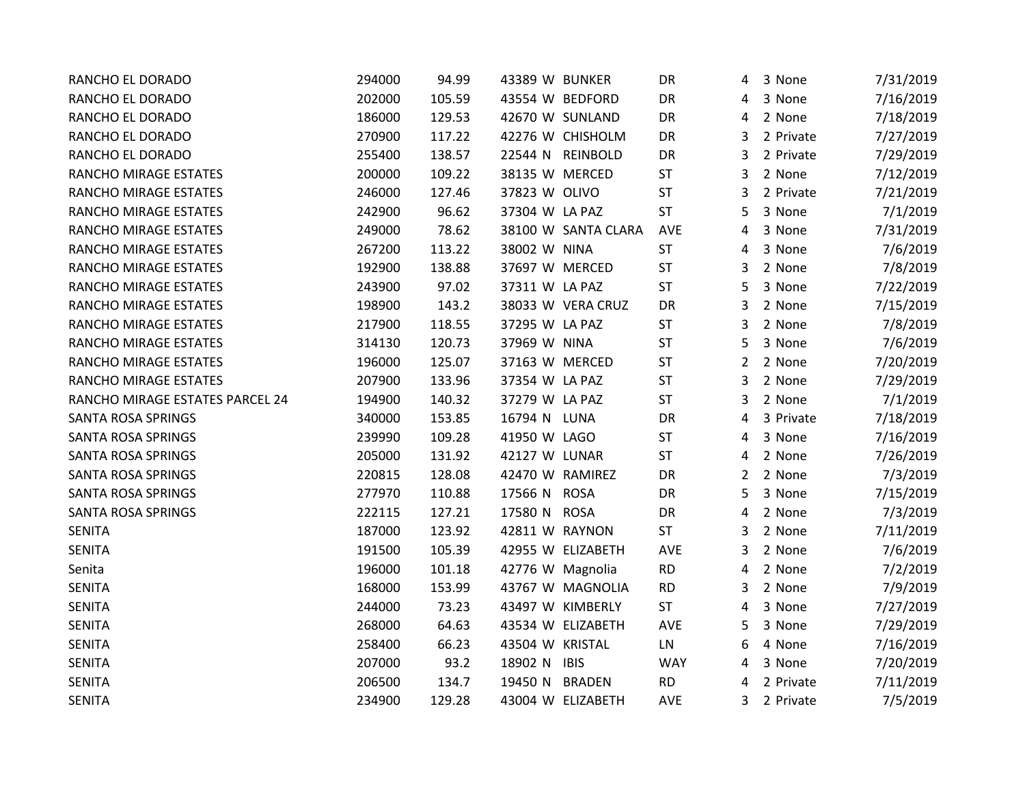| RANCHO EL DORADO                | 294000 | 94.99  | 43389 W BUNKER      |               | DR         | 4              | 3 None    | 7/31/2019 |
|---------------------------------|--------|--------|---------------------|---------------|------------|----------------|-----------|-----------|
| RANCHO EL DORADO                | 202000 | 105.59 | 43554 W BEDFORD     |               | DR         | 4              | 3 None    | 7/16/2019 |
| RANCHO EL DORADO                | 186000 | 129.53 | 42670 W SUNLAND     |               | DR         | 4              | 2 None    | 7/18/2019 |
| RANCHO EL DORADO                | 270900 | 117.22 | 42276 W CHISHOLM    |               | DR         | 3              | 2 Private | 7/27/2019 |
| RANCHO EL DORADO                | 255400 | 138.57 | 22544 N REINBOLD    |               | DR         | 3              | 2 Private | 7/29/2019 |
| RANCHO MIRAGE ESTATES           | 200000 | 109.22 | 38135 W MERCED      |               | <b>ST</b>  | 3              | 2 None    | 7/12/2019 |
| RANCHO MIRAGE ESTATES           | 246000 | 127.46 | 37823 W OLIVO       |               | <b>ST</b>  | 3              | 2 Private | 7/21/2019 |
| RANCHO MIRAGE ESTATES           | 242900 | 96.62  | 37304 W LA PAZ      |               | <b>ST</b>  | 5              | 3 None    | 7/1/2019  |
| RANCHO MIRAGE ESTATES           | 249000 | 78.62  | 38100 W SANTA CLARA |               | <b>AVE</b> | 4              | 3 None    | 7/31/2019 |
| RANCHO MIRAGE ESTATES           | 267200 | 113.22 | 38002 W NINA        |               | <b>ST</b>  | 4              | 3 None    | 7/6/2019  |
| RANCHO MIRAGE ESTATES           | 192900 | 138.88 | 37697 W MERCED      |               | <b>ST</b>  | 3              | 2 None    | 7/8/2019  |
| RANCHO MIRAGE ESTATES           | 243900 | 97.02  | 37311 W LA PAZ      |               | <b>ST</b>  | 5              | 3 None    | 7/22/2019 |
| RANCHO MIRAGE ESTATES           | 198900 | 143.2  | 38033 W VERA CRUZ   |               | DR         | 3              | 2 None    | 7/15/2019 |
| RANCHO MIRAGE ESTATES           | 217900 | 118.55 | 37295 W LA PAZ      |               | <b>ST</b>  | 3              | 2 None    | 7/8/2019  |
| RANCHO MIRAGE ESTATES           | 314130 | 120.73 | 37969 W NINA        |               | <b>ST</b>  | 5              | 3 None    | 7/6/2019  |
| RANCHO MIRAGE ESTATES           | 196000 | 125.07 | 37163 W MERCED      |               | <b>ST</b>  | $\overline{2}$ | 2 None    | 7/20/2019 |
| RANCHO MIRAGE ESTATES           | 207900 | 133.96 | 37354 W LA PAZ      |               | <b>ST</b>  | 3              | 2 None    | 7/29/2019 |
| RANCHO MIRAGE ESTATES PARCEL 24 | 194900 | 140.32 | 37279 W LA PAZ      |               | <b>ST</b>  | 3              | 2 None    | 7/1/2019  |
| <b>SANTA ROSA SPRINGS</b>       | 340000 | 153.85 | 16794 N LUNA        |               | DR         | 4              | 3 Private | 7/18/2019 |
| <b>SANTA ROSA SPRINGS</b>       | 239990 | 109.28 | 41950 W LAGO        |               | <b>ST</b>  | 4              | 3 None    | 7/16/2019 |
| SANTA ROSA SPRINGS              | 205000 | 131.92 | 42127 W LUNAR       |               | <b>ST</b>  | 4              | 2 None    | 7/26/2019 |
| <b>SANTA ROSA SPRINGS</b>       | 220815 | 128.08 | 42470 W RAMIREZ     |               | DR         | $\mathbf{2}$   | 2 None    | 7/3/2019  |
| SANTA ROSA SPRINGS              | 277970 | 110.88 | 17566 N ROSA        |               | DR         | 5              | 3 None    | 7/15/2019 |
| <b>SANTA ROSA SPRINGS</b>       | 222115 | 127.21 | 17580 N ROSA        |               | DR         | 4              | 2 None    | 7/3/2019  |
| <b>SENITA</b>                   | 187000 | 123.92 | 42811 W RAYNON      |               | <b>ST</b>  | 3              | 2 None    | 7/11/2019 |
| <b>SENITA</b>                   | 191500 | 105.39 | 42955 W ELIZABETH   |               | AVE        | 3              | 2 None    | 7/6/2019  |
| Senita                          | 196000 | 101.18 | 42776 W Magnolia    |               | <b>RD</b>  | 4              | 2 None    | 7/2/2019  |
| <b>SENITA</b>                   | 168000 | 153.99 | 43767 W MAGNOLIA    |               | <b>RD</b>  | 3              | 2 None    | 7/9/2019  |
| <b>SENITA</b>                   | 244000 | 73.23  | 43497 W KIMBERLY    |               | <b>ST</b>  | 4              | 3 None    | 7/27/2019 |
| <b>SENITA</b>                   | 268000 | 64.63  | 43534 W ELIZABETH   |               | AVE        | 5              | 3 None    | 7/29/2019 |
| <b>SENITA</b>                   | 258400 | 66.23  | 43504 W KRISTAL     |               | LN         | 6              | 4 None    | 7/16/2019 |
| <b>SENITA</b>                   | 207000 | 93.2   | 18902 N IBIS        |               | <b>WAY</b> | 4              | 3 None    | 7/20/2019 |
| <b>SENITA</b>                   | 206500 | 134.7  | 19450 N             | <b>BRADEN</b> | <b>RD</b>  | 4              | 2 Private | 7/11/2019 |
| <b>SENITA</b>                   | 234900 | 129.28 | 43004 W ELIZABETH   |               | <b>AVE</b> | 3.             | 2 Private | 7/5/2019  |